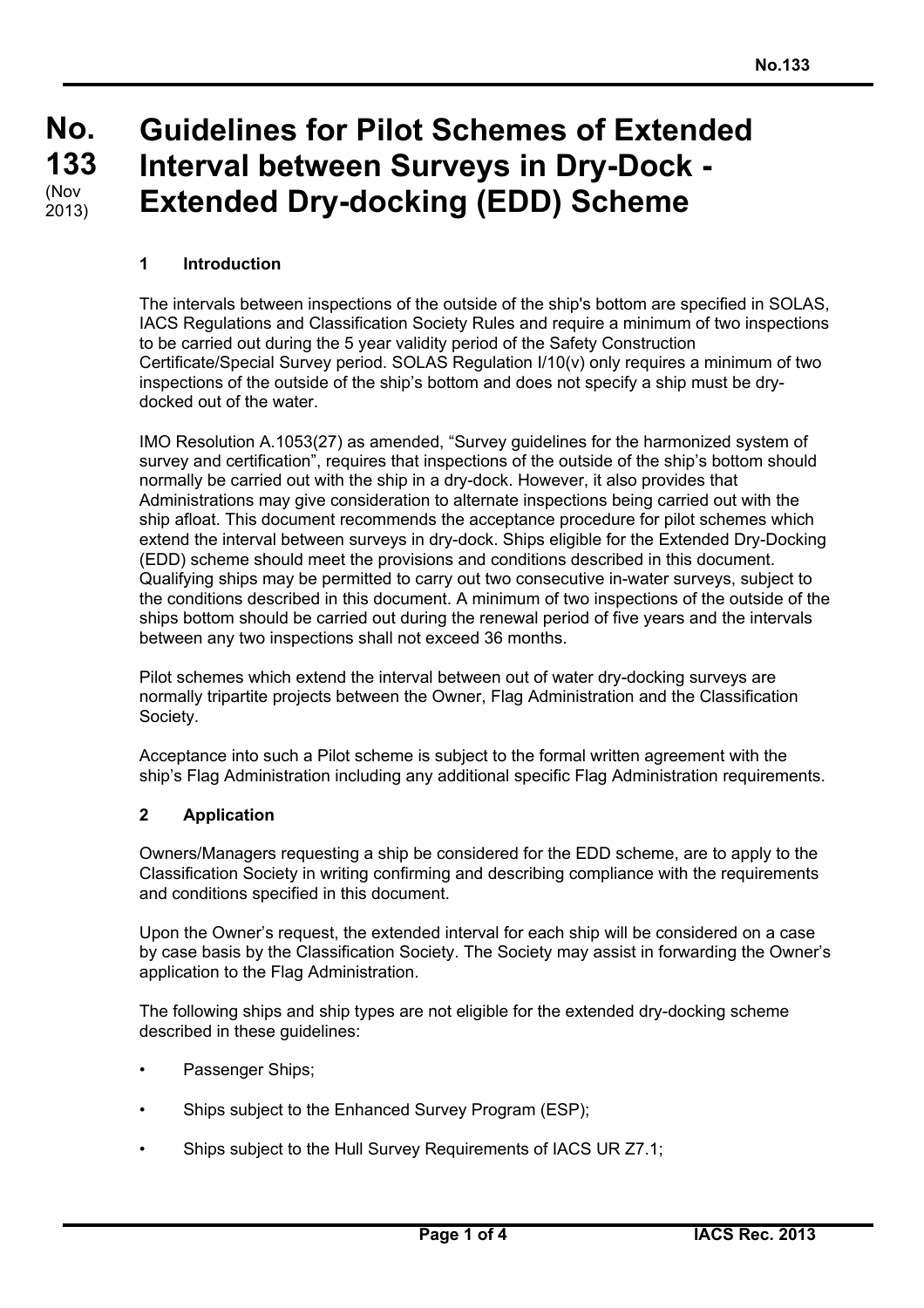#### **No. No. 133 133**  $(Nov)$ **Guidelines for Pilot Schemes of Extended Interval between Surveys in Dry-Dock - Extended Dry-docking (EDD) Scheme** 2013)

## **1 Introduction**

The intervals between inspections of the outside of the ship's bottom are specified in SOLAS, IACS Regulations and Classification Society Rules and require a minimum of two inspections to be carried out during the 5 year validity period of the Safety Construction Certificate/Special Survey period. SOLAS Regulation I/10(v) only requires a minimum of two inspections of the outside of the ship's bottom and does not specify a ship must be drydocked out of the water.

IMO Resolution A.1053(27) as amended, "Survey guidelines for the harmonized system of survey and certification", requires that inspections of the outside of the ship's bottom should normally be carried out with the ship in a dry-dock. However, it also provides that Administrations may give consideration to alternate inspections being carried out with the ship afloat. This document recommends the acceptance procedure for pilot schemes which extend the interval between surveys in dry-dock. Ships eligible for the Extended Dry-Docking (EDD) scheme should meet the provisions and conditions described in this document. Qualifying ships may be permitted to carry out two consecutive in-water surveys, subject to the conditions described in this document. A minimum of two inspections of the outside of the ships bottom should be carried out during the renewal period of five years and the intervals between any two inspections shall not exceed 36 months.

Pilot schemes which extend the interval between out of water dry-docking surveys are normally tripartite projects between the Owner, Flag Administration and the Classification Society.

Acceptance into such a Pilot scheme is subject to the formal written agreement with the ship's Flag Administration including any additional specific Flag Administration requirements.

### **2 Application**

Owners/Managers requesting a ship be considered for the EDD scheme, are to apply to the Classification Society in writing confirming and describing compliance with the requirements and conditions specified in this document.

Upon the Owner's request, the extended interval for each ship will be considered on a case by case basis by the Classification Society. The Society may assist in forwarding the Owner's application to the Flag Administration.

The following ships and ship types are not eligible for the extended dry-docking scheme described in these guidelines:

- Passenger Ships;
- Ships subject to the Enhanced Survey Program (ESP);
- Ships subject to the Hull Survey Requirements of IACS UR Z7.1;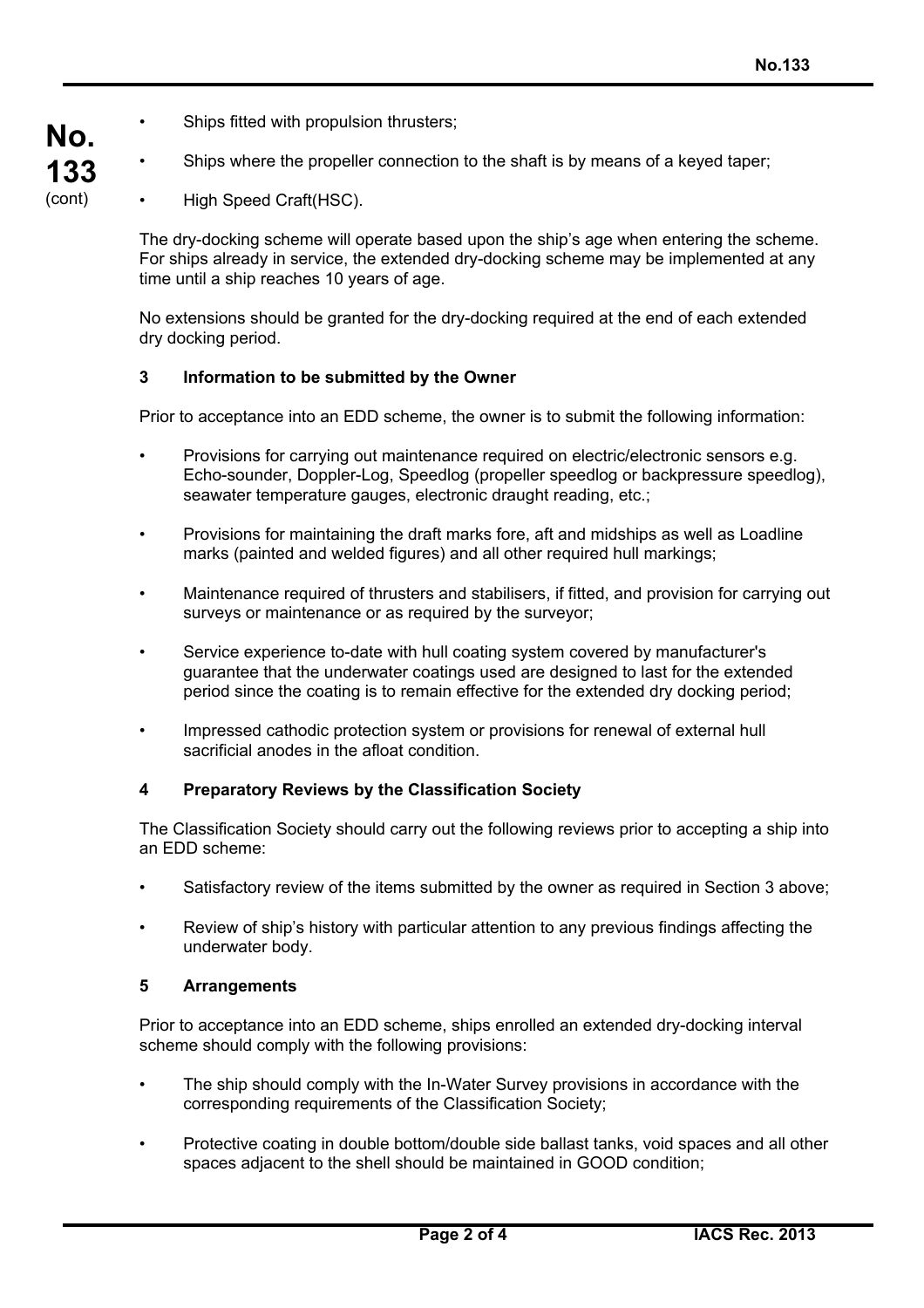- Ships fitted with propulsion thrusters;
- Ships where the propeller connection to the shaft is by means of a keyed taper;
- High Speed Craft(HSC).

**No.**

**133** (cont)

> The dry-docking scheme will operate based upon the ship's age when entering the scheme. For ships already in service, the extended dry-docking scheme may be implemented at any time until a ship reaches 10 years of age.

No extensions should be granted for the dry-docking required at the end of each extended dry docking period.

### **3 Information to be submitted by the Owner**

Prior to acceptance into an EDD scheme, the owner is to submit the following information:

- Provisions for carrying out maintenance required on electric/electronic sensors e.g. Echo-sounder, Doppler-Log, Speedlog (propeller speedlog or backpressure speedlog), seawater temperature gauges, electronic draught reading, etc.;
- Provisions for maintaining the draft marks fore, aft and midships as well as Loadline marks (painted and welded figures) and all other required hull markings;
- Maintenance required of thrusters and stabilisers, if fitted, and provision for carrying out surveys or maintenance or as required by the surveyor;
- Service experience to-date with hull coating system covered by manufacturer's guarantee that the underwater coatings used are designed to last for the extended period since the coating is to remain effective for the extended dry docking period;
- Impressed cathodic protection system or provisions for renewal of external hull sacrificial anodes in the afloat condition.

### **4 Preparatory Reviews by the Classification Society**

The Classification Society should carry out the following reviews prior to accepting a ship into an EDD scheme:

- Satisfactory review of the items submitted by the owner as required in Section 3 above;
- Review of ship's history with particular attention to any previous findings affecting the underwater body.

### **5 Arrangements**

Prior to acceptance into an EDD scheme, ships enrolled an extended dry-docking interval scheme should comply with the following provisions:

- The ship should comply with the In-Water Survey provisions in accordance with the corresponding requirements of the Classification Society;
- Protective coating in double bottom/double side ballast tanks, void spaces and all other spaces adjacent to the shell should be maintained in GOOD condition;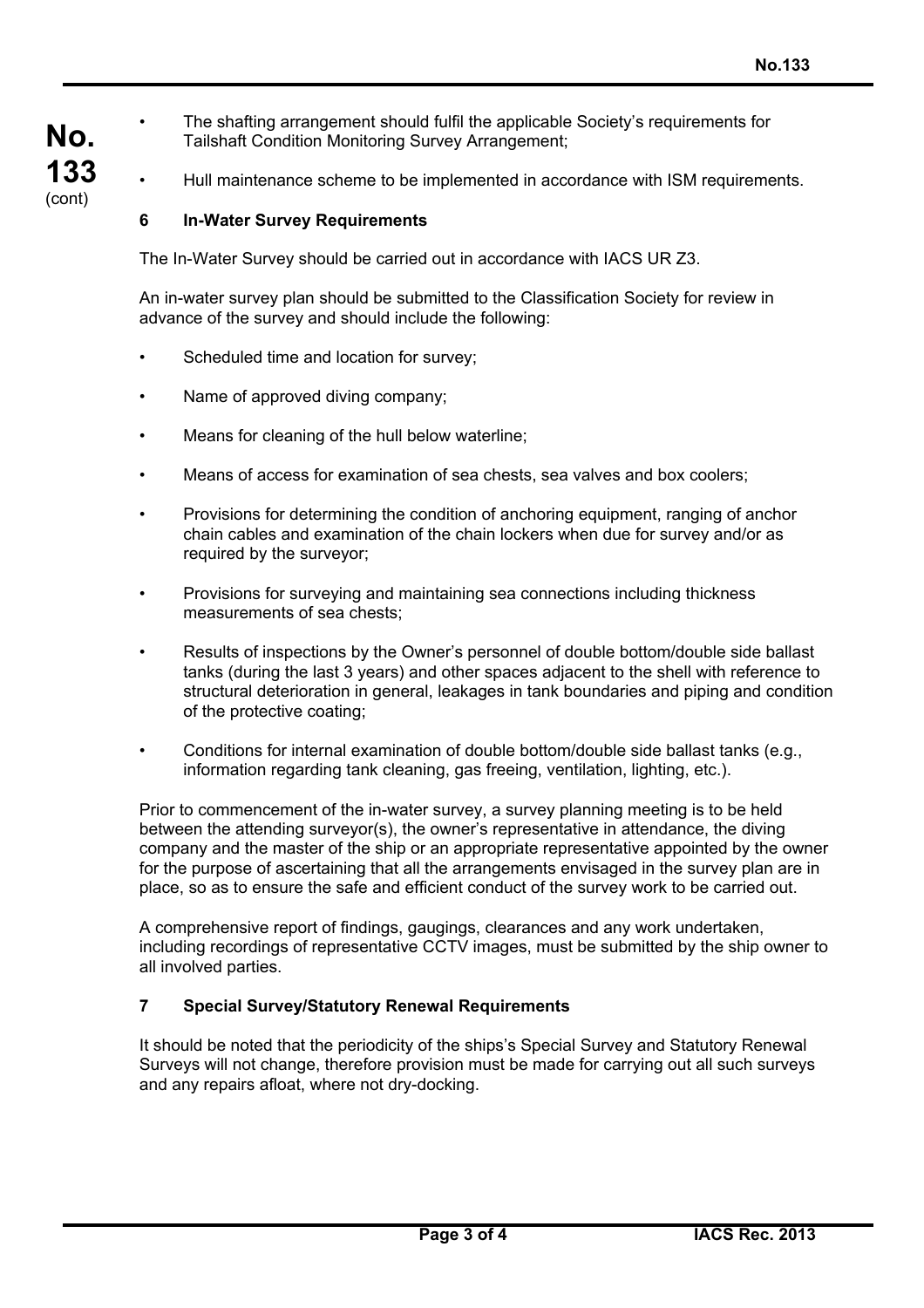**No. 133** (cont)

• The shafting arrangement should fulfil the applicable Society's requirements for Tailshaft Condition Monitoring Survey Arrangement;

• Hull maintenance scheme to be implemented in accordance with ISM requirements.

# **6 In-Water Survey Requirements**

The In-Water Survey should be carried out in accordance with IACS UR Z3.

An in-water survey plan should be submitted to the Classification Society for review in advance of the survey and should include the following:

- Scheduled time and location for survey;
- Name of approved diving company;
- Means for cleaning of the hull below waterline:
- Means of access for examination of sea chests, sea valves and box coolers;
- Provisions for determining the condition of anchoring equipment, ranging of anchor chain cables and examination of the chain lockers when due for survey and/or as required by the surveyor:
- Provisions for surveying and maintaining sea connections including thickness measurements of sea chests;
- Results of inspections by the Owner's personnel of double bottom/double side ballast tanks (during the last 3 years) and other spaces adjacent to the shell with reference to structural deterioration in general, leakages in tank boundaries and piping and condition of the protective coating;
- Conditions for internal examination of double bottom/double side ballast tanks (e.g., information regarding tank cleaning, gas freeing, ventilation, lighting, etc.).

Prior to commencement of the in-water survey, a survey planning meeting is to be held between the attending surveyor(s), the owner's representative in attendance, the diving company and the master of the ship or an appropriate representative appointed by the owner for the purpose of ascertaining that all the arrangements envisaged in the survey plan are in place, so as to ensure the safe and efficient conduct of the survey work to be carried out.

A comprehensive report of findings, gaugings, clearances and any work undertaken, including recordings of representative CCTV images, must be submitted by the ship owner to all involved parties.

## **7 Special Survey/Statutory Renewal Requirements**

It should be noted that the periodicity of the ships's Special Survey and Statutory Renewal Surveys will not change, therefore provision must be made for carrying out all such surveys and any repairs afloat, where not dry-docking.